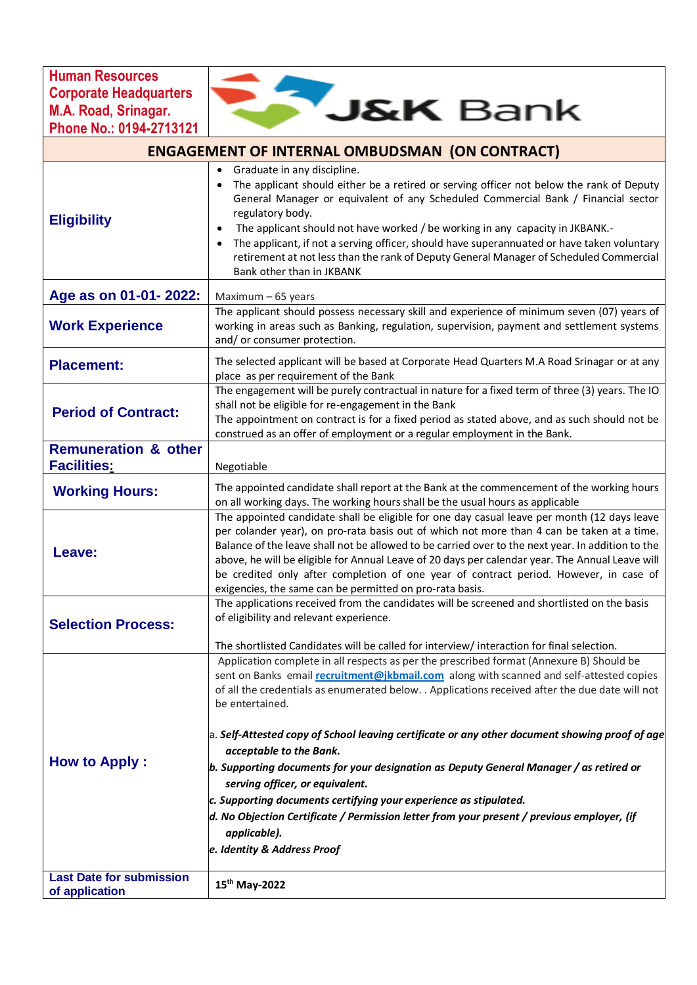**Human Resources Corporate Headquarters M.A. Road, Srinagar. Phone No.: 0194-2713121**

| <b>ENGAGEMENT OF INTERNAL OMBUDSMAN (ON CONTRACT)</b> |                                                                                                                                                                                                                                                                                                                                                                                                                                                                                                                                                                                                                                                                                                                                                                                                          |
|-------------------------------------------------------|----------------------------------------------------------------------------------------------------------------------------------------------------------------------------------------------------------------------------------------------------------------------------------------------------------------------------------------------------------------------------------------------------------------------------------------------------------------------------------------------------------------------------------------------------------------------------------------------------------------------------------------------------------------------------------------------------------------------------------------------------------------------------------------------------------|
| <b>Eligibility</b>                                    | Graduate in any discipline.<br>٠<br>The applicant should either be a retired or serving officer not below the rank of Deputy<br>General Manager or equivalent of any Scheduled Commercial Bank / Financial sector<br>regulatory body.<br>The applicant should not have worked / be working in any capacity in JKBANK.-<br>٠<br>The applicant, if not a serving officer, should have superannuated or have taken voluntary<br>٠<br>retirement at not less than the rank of Deputy General Manager of Scheduled Commercial<br>Bank other than in JKBANK                                                                                                                                                                                                                                                    |
| Age as on 01-01-2022:                                 | Maximum - 65 years                                                                                                                                                                                                                                                                                                                                                                                                                                                                                                                                                                                                                                                                                                                                                                                       |
| <b>Work Experience</b>                                | The applicant should possess necessary skill and experience of minimum seven (07) years of<br>working in areas such as Banking, regulation, supervision, payment and settlement systems<br>and/or consumer protection.                                                                                                                                                                                                                                                                                                                                                                                                                                                                                                                                                                                   |
| <b>Placement:</b>                                     | The selected applicant will be based at Corporate Head Quarters M.A Road Srinagar or at any<br>place as per requirement of the Bank                                                                                                                                                                                                                                                                                                                                                                                                                                                                                                                                                                                                                                                                      |
| <b>Period of Contract:</b>                            | The engagement will be purely contractual in nature for a fixed term of three (3) years. The IO<br>shall not be eligible for re-engagement in the Bank<br>The appointment on contract is for a fixed period as stated above, and as such should not be<br>construed as an offer of employment or a regular employment in the Bank.                                                                                                                                                                                                                                                                                                                                                                                                                                                                       |
| <b>Remuneration &amp; other</b><br><b>Facilities:</b> | Negotiable                                                                                                                                                                                                                                                                                                                                                                                                                                                                                                                                                                                                                                                                                                                                                                                               |
| <b>Working Hours:</b>                                 | The appointed candidate shall report at the Bank at the commencement of the working hours<br>on all working days. The working hours shall be the usual hours as applicable                                                                                                                                                                                                                                                                                                                                                                                                                                                                                                                                                                                                                               |
| Leave:                                                | The appointed candidate shall be eligible for one day casual leave per month (12 days leave<br>per colander year), on pro-rata basis out of which not more than 4 can be taken at a time.<br>Balance of the leave shall not be allowed to be carried over to the next year. In addition to the<br>above, he will be eligible for Annual Leave of 20 days per calendar year. The Annual Leave will<br>be credited only after completion of one year of contract period. However, in case of<br>exigencies, the same can be permitted on pro-rata basis.                                                                                                                                                                                                                                                   |
| <b>Selection Process:</b>                             | The applications received from the candidates will be screened and shortlisted on the basis<br>of eligibility and relevant experience.<br>The shortlisted Candidates will be called for interview/ interaction for final selection.                                                                                                                                                                                                                                                                                                                                                                                                                                                                                                                                                                      |
| <b>How to Apply:</b>                                  | Application complete in all respects as per the prescribed format (Annexure B) Should be<br>sent on Banks email recruitment@jkbmail.com along with scanned and self-attested copies<br>of all the credentials as enumerated below. . Applications received after the due date will not<br>be entertained.<br>$a.$ Self-Attested copy of School leaving certificate or any other document showing proof of age<br>acceptable to the Bank.<br>$\bm{b}.$ Supporting documents for your designation as Deputy General Manager / as retired or<br>serving officer, or equivalent.<br>$\mathsf c.$ Supporting documents certifying your experience as stipulated.<br>d. No Objection Certificate / Permission letter from your present / previous employer, (if<br>applicable).<br>e. Identity & Address Proof |
| <b>Last Date for submission</b><br>of application     | 15th May-2022                                                                                                                                                                                                                                                                                                                                                                                                                                                                                                                                                                                                                                                                                                                                                                                            |

**BAN Bank**